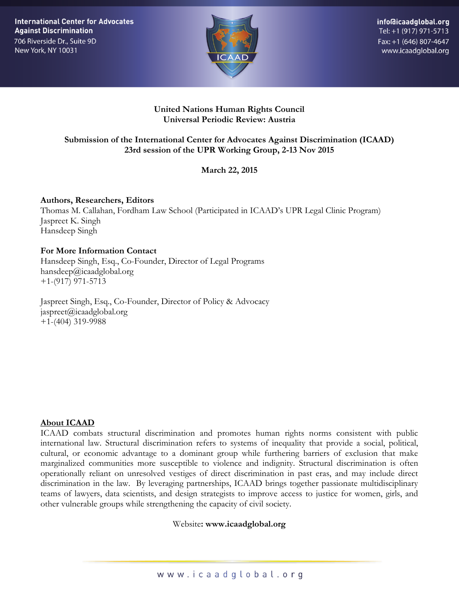**International Center for Advocates Against Discrimination** 706 Riverside Dr., Suite 9D New York, NY 10031



info@icaadglobal.org Tel: +1 (917) 971-5713 Fax: +1 (646) 807-4647 www.icaadglobal.org

### **United Nations Human Rights Council Universal Periodic Review: Austria**

# **Submission of the International Center for Advocates Against Discrimination (ICAAD) 23rd session of the UPR Working Group, 2-13 Nov 2015**

**March 22, 2015**

**Authors, Researchers, Editors** Thomas M. Callahan, Fordham Law School (Participated in ICAAD's UPR Legal Clinic Program) Jaspreet K. Singh Hansdeep Singh

## **For More Information Contact**

Hansdeep Singh, Esq., Co-Founder, Director of Legal Programs hansdeep@icaadglobal.org +1-(917) 971-5713

Jaspreet Singh, Esq., Co-Founder, Director of Policy & Advocacy jaspreet@icaadglobal.org +1-(404) 319-9988

### **About ICAAD**

ICAAD combats structural discrimination and promotes human rights norms consistent with public international law. Structural discrimination refers to systems of inequality that provide a social, political, cultural, or economic advantage to a dominant group while furthering barriers of exclusion that make marginalized communities more susceptible to violence and indignity. Structural discrimination is often operationally reliant on unresolved vestiges of direct discrimination in past eras, and may include direct discrimination in the law. By leveraging partnerships, ICAAD brings together passionate multidisciplinary teams of lawyers, data scientists, and design strategists to improve access to justice for women, girls, and other vulnerable groups while strengthening the capacity of civil society.

### Website**: www.icaadglobal.org**

www.icaadglobal.org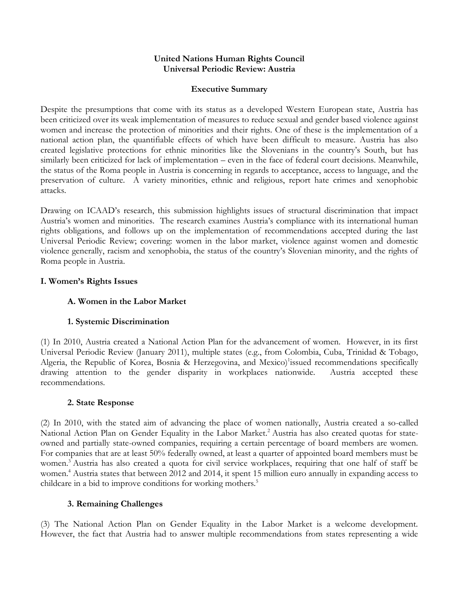### **United Nations Human Rights Council Universal Periodic Review: Austria**

### **Executive Summary**

Despite the presumptions that come with its status as a developed Western European state, Austria has been criticized over its weak implementation of measures to reduce sexual and gender based violence against women and increase the protection of minorities and their rights. One of these is the implementation of a national action plan, the quantifiable effects of which have been difficult to measure. Austria has also created legislative protections for ethnic minorities like the Slovenians in the country's South, but has similarly been criticized for lack of implementation – even in the face of federal court decisions. Meanwhile, the status of the Roma people in Austria is concerning in regards to acceptance, access to language, and the preservation of culture. A variety minorities, ethnic and religious, report hate crimes and xenophobic attacks.

Drawing on ICAAD's research, this submission highlights issues of structural discrimination that impact Austria's women and minorities. The research examines Austria's compliance with its international human rights obligations, and follows up on the implementation of recommendations accepted during the last Universal Periodic Review; covering: women in the labor market, violence against women and domestic violence generally, racism and xenophobia, the status of the country's Slovenian minority, and the rights of Roma people in Austria.

## **I. Women's Rights Issues**

# **A. Women in the Labor Market**

# **1. Systemic Discrimination**

(1) In 2010, Austria created a National Action Plan for the advancement of women. However, in its first Universal Periodic Review (January 2011), multiple states (e.g., from Colombia, Cuba, Trinidad & Tobago, Algeria, the Republic of Korea, Bosnia & Herzegovina, and Mexico)<sup>1</sup>issued recommendations specifically drawing attention to the gender disparity in workplaces nationwide. Austria accepted these recommendations.

### **2. State Response**

(2) In 2010, with the stated aim of advancing the place of women nationally, Austria created a so-called National Action Plan on Gender Equality in the Labor Market.<sup>2</sup> Austria has also created quotas for stateowned and partially state-owned companies, requiring a certain percentage of board members are women. For companies that are at least 50% federally owned, at least a quarter of appointed board members must be women.<sup>3</sup> Austria has also created a quota for civil service workplaces, requiring that one half of staff be women.<sup>4</sup> Austria states that between 2012 and 2014, it spent 15 million euro annually in expanding access to childcare in a bid to improve conditions for working mothers.<sup>5</sup>

# **3. Remaining Challenges**

(3) The National Action Plan on Gender Equality in the Labor Market is a welcome development. However, the fact that Austria had to answer multiple recommendations from states representing a wide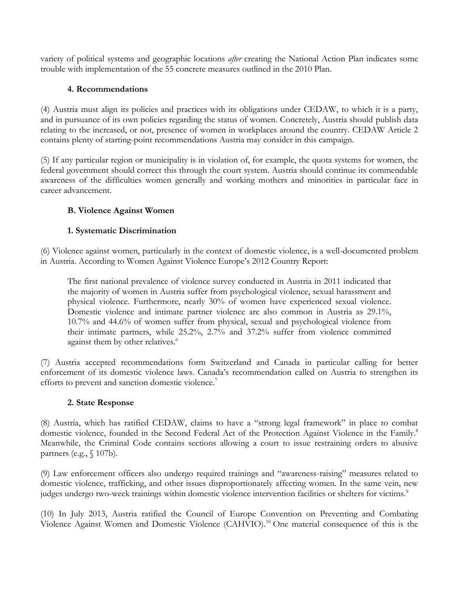variety of political systems and geographic locations *after* creating the National Action Plan indicates some trouble with implementation of the 55 concrete measures outlined in the 2010 Plan.

## **4. Recommendations**

(4) Austria must align its policies and practices with its obligations under CEDAW, to which it is a party, and in pursuance of its own policies regarding the status of women. Concretely, Austria should publish data relating to the increased, or not, presence of women in workplaces around the country. CEDAW Article 2 contains plenty of starting-point recommendations Austria may consider in this campaign.

(5) If any particular region or municipality is in violation of, for example, the quota systems for women, the federal government should correct this through the court system. Austria should continue its commendable awareness of the difficulties women generally and working mothers and minorities in particular face in career advancement.

# **B. Violence Against Women**

## **1. Systematic Discrimination**

(6) Violence against women, particularly in the context of domestic violence, is a well-documented problem in Austria. According to Women Against Violence Europe's 2012 Country Report:

The first national prevalence of violence survey conducted in Austria in 2011 indicated that the majority of women in Austria suffer from psychological violence, sexual harassment and physical violence. Furthermore, nearly 30% of women have experienced sexual violence. Domestic violence and intimate partner violence are also common in Austria as 29.1%, 10.7% and 44.6% of women suffer from physical, sexual and psychological violence from their intimate partners, while 25.2%, 2.7% and 37.2% suffer from violence committed against them by other relatives.<sup>6</sup>

(7) Austria accepted recommendations form Switzerland and Canada in particular calling for better enforcement of its domestic violence laws. Canada's recommendation called on Austria to strengthen its efforts to prevent and sanction domestic violence.<sup>7</sup>

### **2. State Response**

(8) Austria, which has ratified CEDAW, claims to have a "strong legal framework" in place to combat domestic violence, founded in the Second Federal Act of the Protection Against Violence in the Family.<sup>8</sup> Meanwhile, the Criminal Code contains sections allowing a court to issue restraining orders to abusive partners (e.g., § 107b).

(9) Law enforcement officers also undergo required trainings and "awareness-raising" measures related to domestic violence, trafficking, and other issues disproportionately affecting women. In the same vein, new judges undergo two-week trainings within domestic violence intervention facilities or shelters for victims.<sup>9</sup>

(10) In July 2013, Austria ratified the Council of Europe Convention on Preventing and Combating Violence Against Women and Domestic Violence (CAHVIO).<sup>10</sup> One material consequence of this is the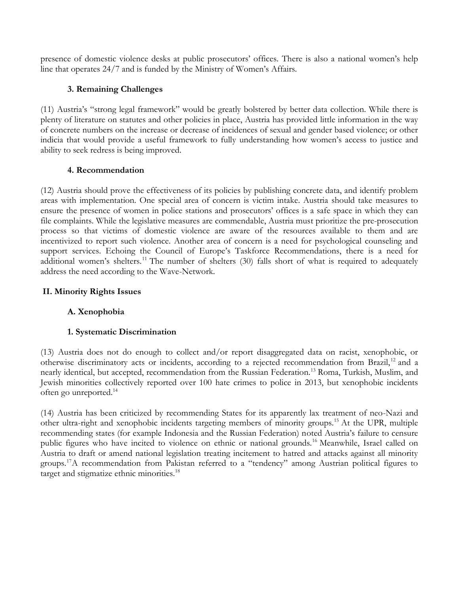presence of domestic violence desks at public prosecutors' offices. There is also a national women's help line that operates 24/7 and is funded by the Ministry of Women's Affairs.

# **3. Remaining Challenges**

(11) Austria's "strong legal framework" would be greatly bolstered by better data collection. While there is plenty of literature on statutes and other policies in place, Austria has provided little information in the way of concrete numbers on the increase or decrease of incidences of sexual and gender based violence; or other indicia that would provide a useful framework to fully understanding how women's access to justice and ability to seek redress is being improved.

### **4. Recommendation**

(12) Austria should prove the effectiveness of its policies by publishing concrete data, and identify problem areas with implementation. One special area of concern is victim intake. Austria should take measures to ensure the presence of women in police stations and prosecutors' offices is a safe space in which they can file complaints. While the legislative measures are commendable, Austria must prioritize the pre-prosecution process so that victims of domestic violence are aware of the resources available to them and are incentivized to report such violence. Another area of concern is a need for psychological counseling and support services. Echoing the Council of Europe's Taskforce Recommendations, there is a need for additional women's shelters.<sup>11</sup> The number of shelters (30) falls short of what is required to adequately address the need according to the Wave-Network.

## **II. Minority Rights Issues**

# **A. Xenophobia**

### **1. Systematic Discrimination**

(13) Austria does not do enough to collect and/or report disaggregated data on racist, xenophobic, or otherwise discriminatory acts or incidents, according to a rejected recommendation from Brazil,<sup>12</sup> and a nearly identical, but accepted, recommendation from the Russian Federation.<sup>13</sup> Roma, Turkish, Muslim, and Jewish minorities collectively reported over 100 hate crimes to police in 2013, but xenophobic incidents often go unreported.<sup>14</sup>

(14) Austria has been criticized by recommending States for its apparently lax treatment of neo-Nazi and other ultra-right and xenophobic incidents targeting members of minority groups.<sup>15</sup> At the UPR, multiple recommending states (for example Indonesia and the Russian Federation) noted Austria's failure to censure public figures who have incited to violence on ethnic or national grounds.<sup>16</sup> Meanwhile, Israel called on Austria to draft or amend national legislation treating incitement to hatred and attacks against all minority groups.<sup>17</sup>A recommendation from Pakistan referred to a "tendency" among Austrian political figures to target and stigmatize ethnic minorities.<sup>18</sup>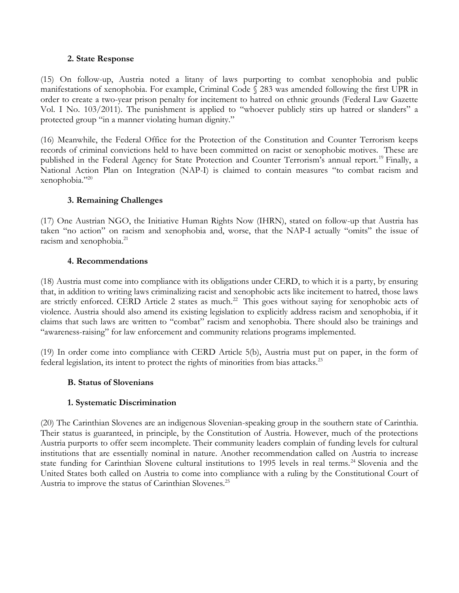#### **2. State Response**

(15) On follow-up, Austria noted a litany of laws purporting to combat xenophobia and public manifestations of xenophobia. For example, Criminal Code § 283 was amended following the first UPR in order to create a two-year prison penalty for incitement to hatred on ethnic grounds (Federal Law Gazette Vol. I No. 103/2011). The punishment is applied to "whoever publicly stirs up hatred or slanders" a protected group "in a manner violating human dignity."

(16) Meanwhile, the Federal Office for the Protection of the Constitution and Counter Terrorism keeps records of criminal convictions held to have been committed on racist or xenophobic motives. These are published in the Federal Agency for State Protection and Counter Terrorism's annual report.<sup>19</sup> Finally, a National Action Plan on Integration (NAP-I) is claimed to contain measures "to combat racism and xenophobia." $^{20}$ 

## **3. Remaining Challenges**

(17) One Austrian NGO, the Initiative Human Rights Now (IHRN), stated on follow-up that Austria has taken "no action" on racism and xenophobia and, worse, that the NAP-I actually "omits" the issue of racism and xenophobia.<sup>21</sup>

## **4. Recommendations**

(18) Austria must come into compliance with its obligations under CERD, to which it is a party, by ensuring that, in addition to writing laws criminalizing racist and xenophobic acts like incitement to hatred, those laws are strictly enforced. CERD Article 2 states as much.<sup>22</sup> This goes without saying for xenophobic acts of violence. Austria should also amend its existing legislation to explicitly address racism and xenophobia, if it claims that such laws are written to "combat" racism and xenophobia. There should also be trainings and "awareness-raising" for law enforcement and community relations programs implemented.

(19) In order come into compliance with CERD Article 5(b), Austria must put on paper, in the form of federal legislation, its intent to protect the rights of minorities from bias attacks.<sup>23</sup>

# **B. Status of Slovenians**

### **1. Systematic Discrimination**

(20) The Carinthian Slovenes are an indigenous Slovenian-speaking group in the southern state of Carinthia. Their status is guaranteed, in principle, by the Constitution of Austria. However, much of the protections Austria purports to offer seem incomplete. Their community leaders complain of funding levels for cultural institutions that are essentially nominal in nature. Another recommendation called on Austria to increase state funding for Carinthian Slovene cultural institutions to 1995 levels in real terms.<sup>24</sup> Slovenia and the United States both called on Austria to come into compliance with a ruling by the Constitutional Court of Austria to improve the status of Carinthian Slovenes.<sup>25</sup>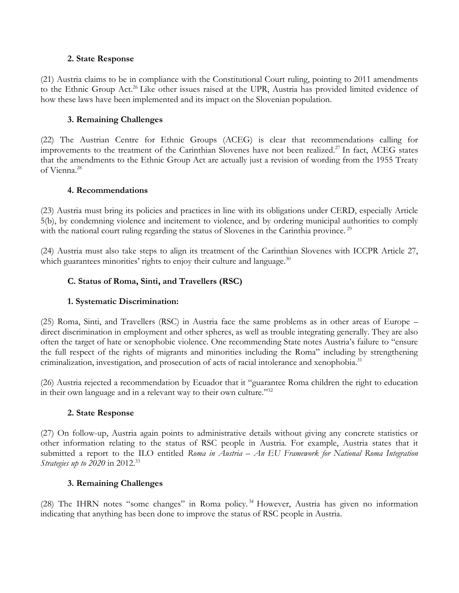### **2. State Response**

(21) Austria claims to be in compliance with the Constitutional Court ruling, pointing to 2011 amendments to the Ethnic Group Act.<sup>26</sup> Like other issues raised at the UPR, Austria has provided limited evidence of how these laws have been implemented and its impact on the Slovenian population.

## **3. Remaining Challenges**

(22) The Austrian Centre for Ethnic Groups (ACEG) is clear that recommendations calling for improvements to the treatment of the Carinthian Slovenes have not been realized.<sup>27</sup> In fact, ACEG states that the amendments to the Ethnic Group Act are actually just a revision of wording from the 1955 Treaty of Vienna.<sup>28</sup>

### **4. Recommendations**

(23) Austria must bring its policies and practices in line with its obligations under CERD, especially Article 5(b), by condemning violence and incitement to violence, and by ordering municipal authorities to comply with the national court ruling regarding the status of Slovenes in the Carinthia province.<sup>29</sup>

(24) Austria must also take steps to align its treatment of the Carinthian Slovenes with ICCPR Article 27, which guarantees minorities' rights to enjoy their culture and language. $30$ 

## **C. Status of Roma, Sinti, and Travellers (RSC)**

### **1. Systematic Discrimination:**

(25) Roma, Sinti, and Travellers (RSC) in Austria face the same problems as in other areas of Europe – direct discrimination in employment and other spheres, as well as trouble integrating generally. They are also often the target of hate or xenophobic violence. One recommending State notes Austria's failure to "ensure the full respect of the rights of migrants and minorities including the Roma" including by strengthening criminalization, investigation, and prosecution of acts of racial intolerance and xenophobia.<sup>31</sup>

(26) Austria rejected a recommendation by Ecuador that it "guarantee Roma children the right to education in their own language and in a relevant way to their own culture."<sup>32</sup>

### **2. State Response**

(27) On follow-up, Austria again points to administrative details without giving any concrete statistics or other information relating to the status of RSC people in Austria. For example, Austria states that it submitted a report to the ILO entitled *Roma in Austria – An EU Framework for National Roma Integration Strategies up to 2020* in 2012.<sup>33</sup>

### **3. Remaining Challenges**

(28) The IHRN notes "some changes" in Roma policy. <sup>34</sup> However, Austria has given no information indicating that anything has been done to improve the status of RSC people in Austria.